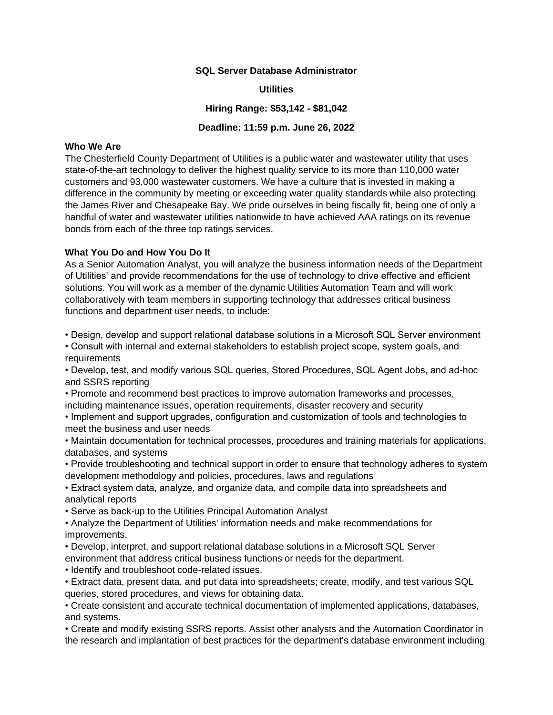#### **SQL Server Database Administrator**

### **Utilities**

### **Hiring Range: \$53,142 - \$81,042**

#### **Deadline: 11:59 p.m. June 26, 2022**

## **Who We Are**

The Chesterfield County Department of Utilities is a public water and wastewater utility that uses state-of-the-art technology to deliver the highest quality service to its more than 110,000 water customers and 93,000 wastewater customers. We have a culture that is invested in making a difference in the community by meeting or exceeding water quality standards while also protecting the James River and Chesapeake Bay. We pride ourselves in being fiscally fit, being one of only a handful of water and wastewater utilities nationwide to have achieved AAA ratings on its revenue bonds from each of the three top ratings services.

### **What You Do and How You Do It**

As a Senior Automation Analyst, you will analyze the business information needs of the Department of Utilities' and provide recommendations for the use of technology to drive effective and efficient solutions. You will work as a member of the dynamic Utilities Automation Team and will work collaboratively with team members in supporting technology that addresses critical business functions and department user needs, to include:

• Design, develop and support relational database solutions in a Microsoft SQL Server environment

• Consult with internal and external stakeholders to establish project scope, system goals, and requirements

• Develop, test, and modify various SQL queries, Stored Procedures, SQL Agent Jobs, and ad-hoc and SSRS reporting

- Promote and recommend best practices to improve automation frameworks and processes, including maintenance issues, operation requirements, disaster recovery and security
- Implement and support upgrades, configuration and customization of tools and technologies to meet the business and user needs
- Maintain documentation for technical processes, procedures and training materials for applications, databases, and systems

• Provide troubleshooting and technical support in order to ensure that technology adheres to system development methodology and policies, procedures, laws and regulations

• Extract system data, analyze, and organize data, and compile data into spreadsheets and analytical reports

• Serve as back-up to the Utilities Principal Automation Analyst

- Analyze the Department of Utilities' information needs and make recommendations for improvements.
- Develop, interpret, and support relational database solutions in a Microsoft SQL Server environment that address critical business functions or needs for the department.
- Identify and troubleshoot code-related issues.
- Extract data, present data, and put data into spreadsheets; create, modify, and test various SQL queries, stored procedures, and views for obtaining data.

• Create consistent and accurate technical documentation of implemented applications, databases, and systems.

• Create and modify existing SSRS reports. Assist other analysts and the Automation Coordinator in the research and implantation of best practices for the department's database environment including